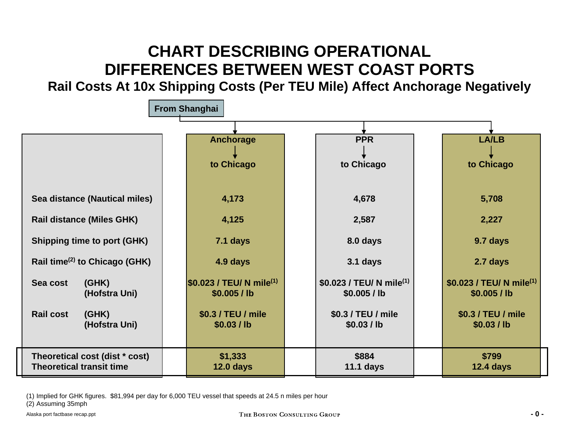# **CHART DESCRIBING OPERATIONAL DIFFERENCES BETWEEN WEST COAST PORTS**

**Rail Costs At 10x Shipping Costs (Per TEU Mile) Affect Anchorage Negatively**



(1) Implied for GH K figures. \$81,994 per day for 6,000 TEU vessel that speeds at 24.5 n miles per hour

(2) Assuming 35mph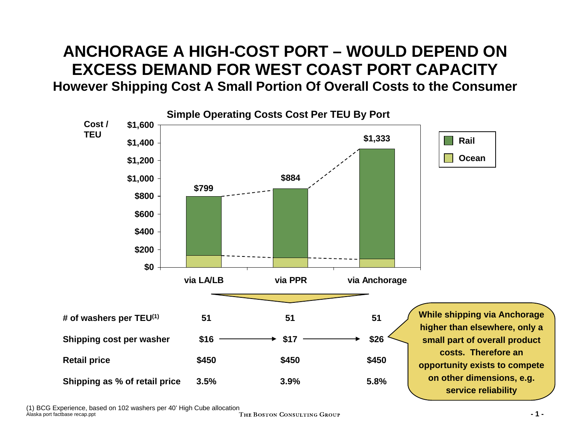## **ANCHORAGE A HIGH-COST PORT –WOULD DEPEND ON EXCESS DEMAND FOR WEST COAST PORT CAPACITYHowever Shipping Cost A Small Portion Of Overall Costs to the Consumer**



(1) BCG Experience, based on 102 washers per 40' High Cube allocation

Alaska port factbase recap.ppt **-1-** THE BOSTON CONSULTING GROUP **-1-**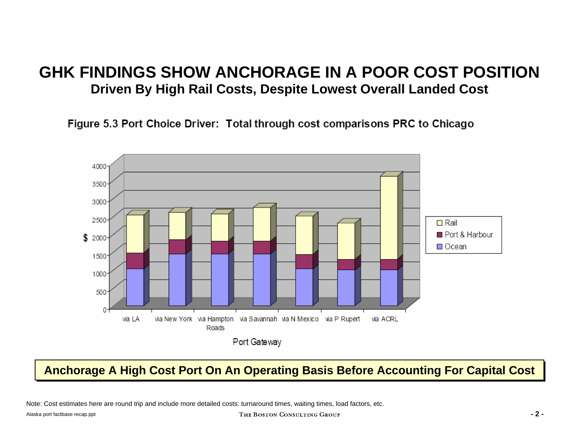### **GHK FINDINGS SHOW ANCHORAGE IN A POOR COST POSITION Driven By High Rail Costs, Despite Lowest Overall Landed Cost**

Figure 5.3 Port Choice Driver: Total through cost comparisons PRC to Chicago



### **Anchorage A High Cost Anchorage A High Cost Port O Port Onn An Operatin An Operating Basis Before Account g Basis Before Accounting For Capital Cost ing For Capital Cost**

Note: Cost estimates here are round trip and include more detailed costs: turnaround times, waiting times, load factors, etc.

#### Alaska port factbase recap.ppt **-2-**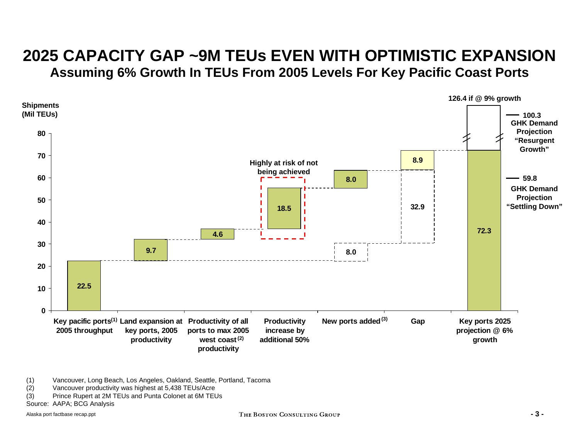## **2025 CAPACITY GAP ~9M TEUs EVEN WITH OPTIMISTIC EXPANSIONAssuming 6% Growth In TEUs From 2005 Levels For Key Pacific Coast Ports**

![](_page_3_Figure_1.jpeg)

(1) Vancouver, Long Beach, Los Angeles, Oakland, Seattle, Portland, Tacoma

- (2) Vancouver productivity was highest at 5,438 TEUs/Acre
- $(3)$ Prince Rupert at 2M TEUs and Punta Colonet at 6M TEUs

Source: AAPA; BCG Analysis